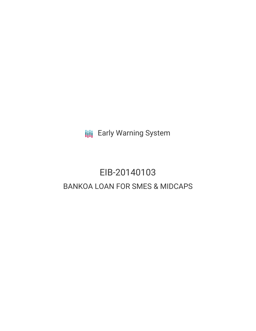**III** Early Warning System

# EIB-20140103 BANKOA LOAN FOR SMES & MIDCAPS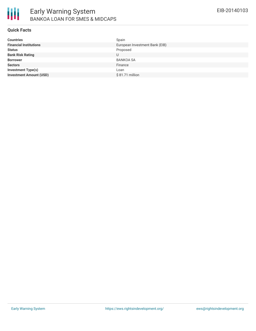

### **Quick Facts**

| <b>Countries</b>               | Spain                          |
|--------------------------------|--------------------------------|
| <b>Financial Institutions</b>  | European Investment Bank (EIB) |
| <b>Status</b>                  | Proposed                       |
| <b>Bank Risk Rating</b>        | U                              |
| <b>Borrower</b>                | <b>BANKOA SA</b>               |
| <b>Sectors</b>                 | Finance                        |
| Investment Type(s)             | Loan                           |
| <b>Investment Amount (USD)</b> | $$81.71$ million               |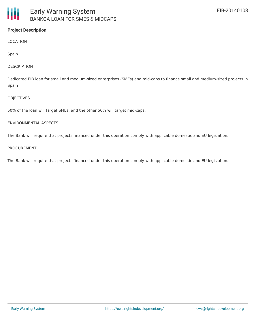# **Project Description**

LOCATION

Spain

#### **DESCRIPTION**

Dedicated EIB loan for small and medium-sized enterprises (SMEs) and mid-caps to finance small and medium-sized projects in Spain

#### **OBJECTIVES**

50% of the loan will target SMEs, and the other 50% will target mid-caps.

### ENVIRONMENTAL ASPECTS

The Bank will require that projects financed under this operation comply with applicable domestic and EU legislation.

#### PROCUREMENT

The Bank will require that projects financed under this operation comply with applicable domestic and EU legislation.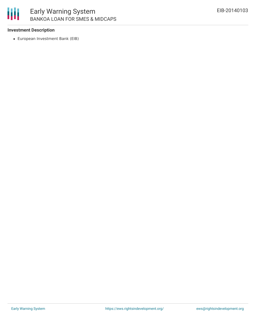

## **Investment Description**

European Investment Bank (EIB)